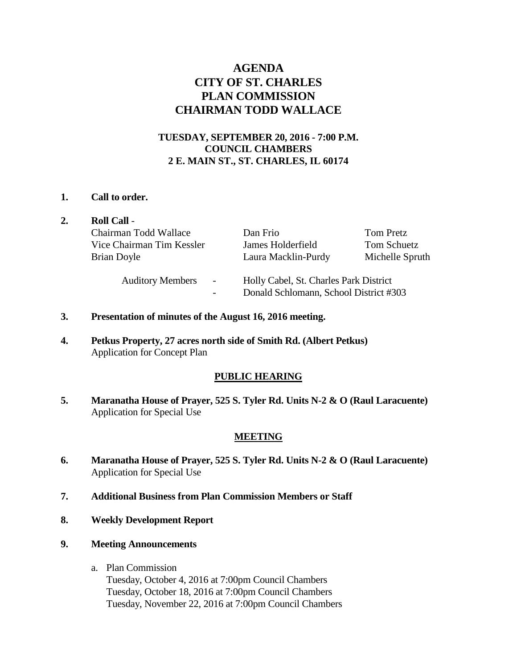# **AGENDA CITY OF ST. CHARLES PLAN COMMISSION CHAIRMAN TODD WALLACE**

## **TUESDAY, SEPTEMBER 20, 2016 - 7:00 P.M. COUNCIL CHAMBERS 2 E. MAIN ST., ST. CHARLES, IL 60174**

### **1. Call to order.**

|  | <b>Roll Call -</b>                |                                                                                  |                 |
|--|-----------------------------------|----------------------------------------------------------------------------------|-----------------|
|  | Chairman Todd Wallace             | Dan Frio                                                                         | Tom Pretz       |
|  | Vice Chairman Tim Kessler         | James Holderfield                                                                | Tom Schuetz     |
|  | Brian Doyle                       | Laura Macklin-Purdy                                                              | Michelle Spruth |
|  | <b>Auditory Members</b><br>$\sim$ | Holly Cabel, St. Charles Park District<br>Donald Schlomann, School District #303 |                 |

- **3. Presentation of minutes of the August 16, 2016 meeting.**
- **4. Petkus Property, 27 acres north side of Smith Rd. (Albert Petkus)**  Application for Concept Plan

### **PUBLIC HEARING**

**5. Maranatha House of Prayer, 525 S. Tyler Rd. Units N-2 & O (Raul Laracuente)**  Application for Special Use

### **MEETING**

- **6. Maranatha House of Prayer, 525 S. Tyler Rd. Units N-2 & O (Raul Laracuente)**  Application for Special Use
- **7. Additional Business from Plan Commission Members or Staff**
- **8. Weekly Development Report**
- **9. Meeting Announcements** 
	- a. Plan Commission Tuesday, October 4, 2016 at 7:00pm Council Chambers Tuesday, October 18, 2016 at 7:00pm Council Chambers Tuesday, November 22, 2016 at 7:00pm Council Chambers